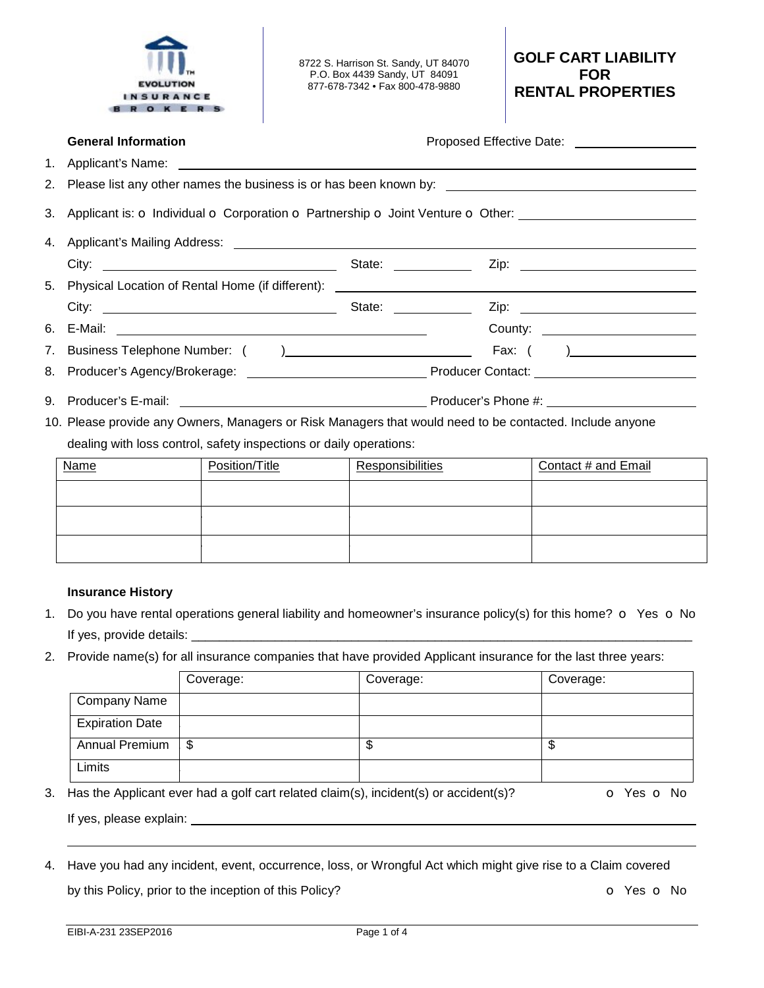|                | <b>EVOLUTION</b><br>NSURANCE<br>OKER                                                                     |                |  | 8722 S. Harrison St. Sandy, UT 84070<br>P.O. Box 4439 Sandy, UT 84091<br>877-678-7342 • Fax 800-478-9880 |  | <b>GOLF CART LIABILITY</b><br><b>FOR</b><br><b>RENTAL PROPERTIES</b>                                               |
|----------------|----------------------------------------------------------------------------------------------------------|----------------|--|----------------------------------------------------------------------------------------------------------|--|--------------------------------------------------------------------------------------------------------------------|
|                | <b>General Information</b>                                                                               |                |  |                                                                                                          |  | Proposed Effective Date: ____________________                                                                      |
| 1 <sub>1</sub> | Applicant's Name:                                                                                        |                |  |                                                                                                          |  |                                                                                                                    |
| 2.             |                                                                                                          |                |  |                                                                                                          |  | Please list any other names the business is or has been known by: __________________________________               |
| 3.             |                                                                                                          |                |  |                                                                                                          |  | Applicant is: $\sigma$ Individual $\sigma$ Corporation $\sigma$ Partnership $\sigma$ Joint Venture $\sigma$ Other: |
| 4.             |                                                                                                          |                |  |                                                                                                          |  |                                                                                                                    |
|                |                                                                                                          |                |  |                                                                                                          |  |                                                                                                                    |
| 5.             |                                                                                                          |                |  |                                                                                                          |  |                                                                                                                    |
|                |                                                                                                          |                |  |                                                                                                          |  |                                                                                                                    |
| 6.             |                                                                                                          |                |  |                                                                                                          |  |                                                                                                                    |
| 7.             |                                                                                                          |                |  |                                                                                                          |  |                                                                                                                    |
| 8.             |                                                                                                          |                |  |                                                                                                          |  |                                                                                                                    |
| 9.             |                                                                                                          |                |  |                                                                                                          |  |                                                                                                                    |
|                | 10. Please provide any Owners, Managers or Risk Managers that would need to be contacted. Include anyone |                |  |                                                                                                          |  |                                                                                                                    |
|                | dealing with loss control, safety inspections or daily operations:                                       |                |  |                                                                                                          |  |                                                                                                                    |
|                | Name                                                                                                     | Position/Title |  | Responsibilities                                                                                         |  | Contact # and Email                                                                                                |
|                |                                                                                                          |                |  |                                                                                                          |  |                                                                                                                    |
|                |                                                                                                          |                |  |                                                                                                          |  |                                                                                                                    |
|                |                                                                                                          |                |  |                                                                                                          |  |                                                                                                                    |

## **Insurance History**

- 1. Do you have rental operations general liability and homeowner's insurance policy(s) for this home?  $\circ$  Yes  $\circ$  No If yes, provide details: \_\_\_\_\_\_\_\_\_\_\_\_\_\_\_\_\_\_\_\_\_\_\_\_\_\_\_\_\_\_\_\_\_\_\_\_\_\_\_\_\_\_\_\_\_\_\_\_\_\_\_\_\_\_\_\_\_\_\_\_\_\_\_\_\_\_\_\_\_\_\_\_
- 2. Provide name(s) for all insurance companies that have provided Applicant insurance for the last three years:

|                         |                        | Coverage:                                                                               | Coverage: | Coverage:  |
|-------------------------|------------------------|-----------------------------------------------------------------------------------------|-----------|------------|
|                         | <b>Company Name</b>    |                                                                                         |           |            |
|                         | <b>Expiration Date</b> |                                                                                         |           |            |
|                         | <b>Annual Premium</b>  | \$                                                                                      | \$        | \$         |
|                         | Limits                 |                                                                                         |           |            |
|                         |                        | 3. Has the Applicant ever had a golf cart related claim(s), incident(s) or accident(s)? |           | O Yes O No |
| If yes, please explain: |                        |                                                                                         |           |            |

4. Have you had any incident, event, occurrence, loss, or Wrongful Act which might give rise to a Claim covered by this Policy, prior to the inception of this Policy? **o COV o** Yes **o** No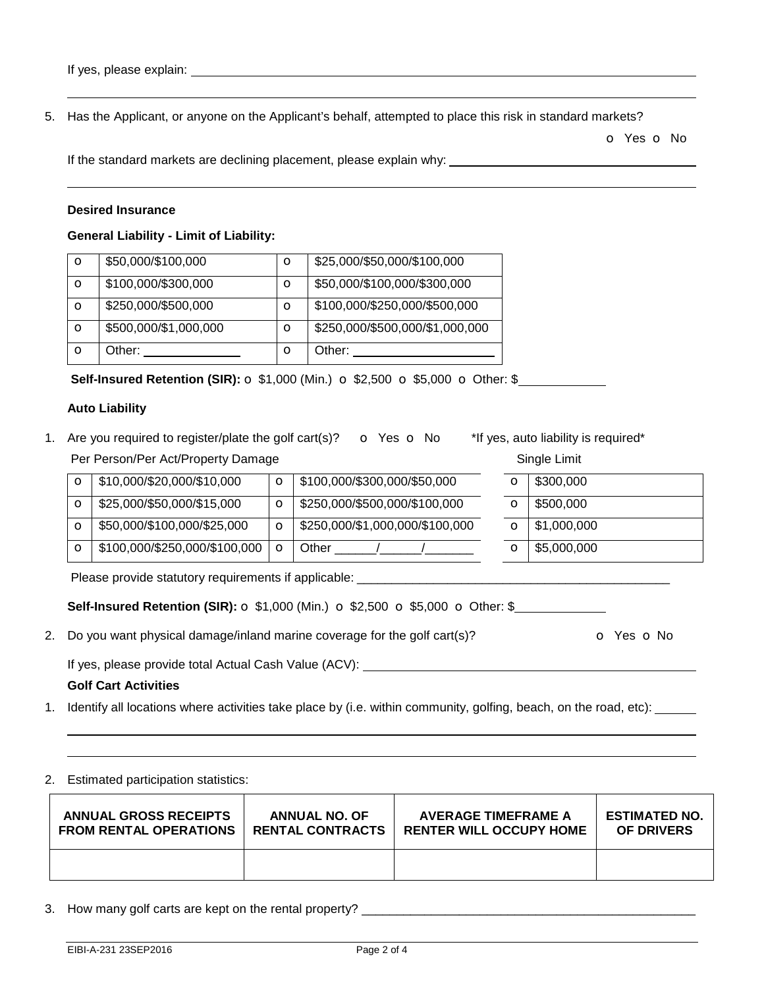5. Has the Applicant, or anyone on the Applicant's behalf, attempted to place this risk in standard markets?

o Yes o No

If the standard markets are declining placement, please explain why:

#### **Desired Insurance**

#### **General Liability - Limit of Liability:**

| $\circ$ | \$50,000/\$100,000    | $\circ$ | \$25,000/\$50,000/\$100,000     |
|---------|-----------------------|---------|---------------------------------|
| O       | \$100,000/\$300,000   | $\circ$ | \$50,000/\$100,000/\$300,000    |
| O       | \$250,000/\$500,000   | $\circ$ | \$100,000/\$250,000/\$500,000   |
| O       | \$500,000/\$1,000,000 | $\circ$ | \$250,000/\$500,000/\$1,000,000 |
| O       | Other:                | $\circ$ | Other:                          |

**Self-Insured Retention (SIR):**  $\sigma$  **\$1,000 (Min.)**  $\sigma$  **\$2,500**  $\sigma$  **\$5,000**  $\sigma$  **Other: \$** 

## **Auto Liability**

1. Are you required to register/plate the golf cart(s)?  $\bullet$  Yes  $\bullet$  No \*If yes, auto liability is required\* Per Person/Per Act/Property Damage Single Limit

| O       | \$10,000/\$20,000/\$10,000    | $\circ$ | \$100,000/\$300,000/\$50,000    | O       | \$300,000           |
|---------|-------------------------------|---------|---------------------------------|---------|---------------------|
| О       | \$25,000/\$50,000/\$15,000    | O       | \$250,000/\$500,000/\$100,000   | O       | \$500,000           |
| $\circ$ | \$50,000/\$100,000/\$25,000   | $\circ$ | \$250,000/\$1,000,000/\$100,000 | $\circ$ | $\vert$ \$1,000,000 |
| $\circ$ | \$100,000/\$250,000/\$100,000 | $\circ$ | Other                           | О       | \$5,000,000         |

Please provide statutory requirements if applicable:

2. Do you want physical damage/inland marine coverage for the golf cart(s)?  $\bullet$  Yes  $\bullet$  No

If yes, please provide total Actual Cash Value (ACV):

## **Golf Cart Activities**

1. Identify all locations where activities take place by (i.e. within community, golfing, beach, on the road, etc):

2. Estimated participation statistics:

| <b>ANNUAL GROSS RECEIPTS</b>  | <b>ANNUAL NO. OF</b>    | <b>AVERAGE TIMEFRAME A</b>     | <b>ESTIMATED NO.</b> |
|-------------------------------|-------------------------|--------------------------------|----------------------|
| <b>FROM RENTAL OPERATIONS</b> | <b>RENTAL CONTRACTS</b> | <b>RENTER WILL OCCUPY HOME</b> | <b>OF DRIVERS</b>    |
|                               |                         |                                |                      |

3. How many golf carts are kept on the rental property? \_\_\_\_\_\_\_\_\_\_\_\_\_\_\_\_\_\_\_\_\_\_\_\_\_\_\_\_\_\_\_\_\_\_\_\_\_\_\_\_\_\_\_\_\_\_\_\_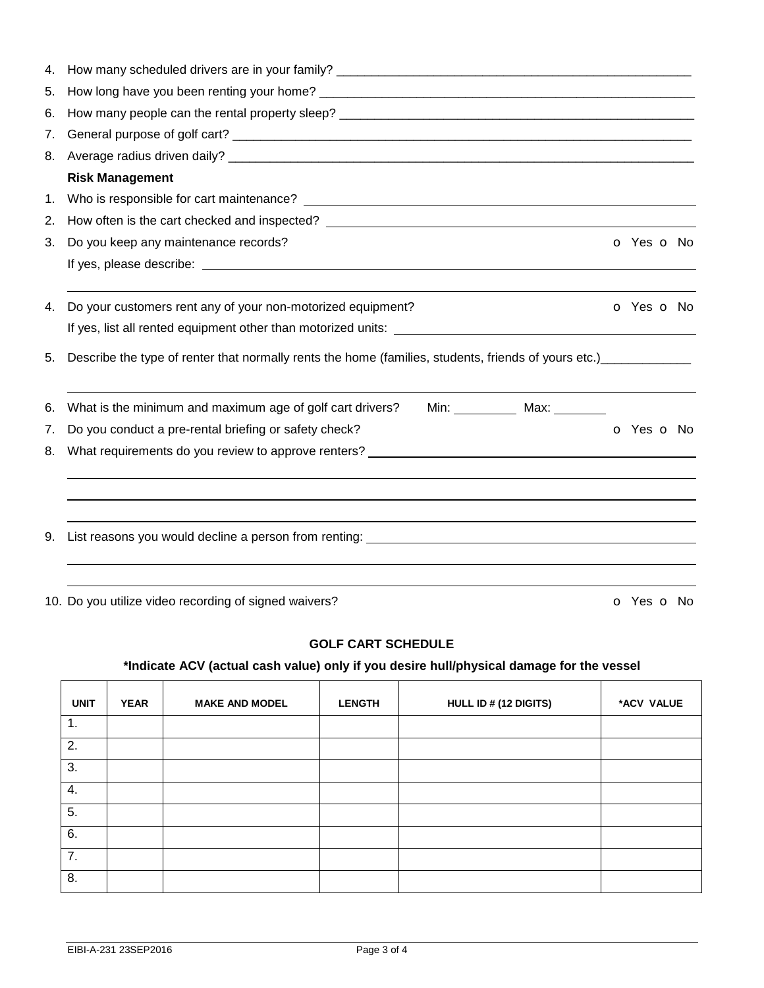| 4. |                                                                                                                                                                                                                                |            |  |
|----|--------------------------------------------------------------------------------------------------------------------------------------------------------------------------------------------------------------------------------|------------|--|
| 5. |                                                                                                                                                                                                                                |            |  |
| 6. |                                                                                                                                                                                                                                |            |  |
| 7. |                                                                                                                                                                                                                                |            |  |
| 8. |                                                                                                                                                                                                                                |            |  |
|    | <b>Risk Management</b>                                                                                                                                                                                                         |            |  |
| 1. |                                                                                                                                                                                                                                |            |  |
| 2. | How often is the cart checked and inspected? The contract of the case of the case of the case of the case of the case of the case of the case of the case of the case of the case of the case of the case of the case of the c |            |  |
| 3. | Do you keep any maintenance records?                                                                                                                                                                                           | O Yes O No |  |
|    |                                                                                                                                                                                                                                |            |  |
| 4. | Do your customers rent any of your non-motorized equipment?                                                                                                                                                                    | O Yes O No |  |
|    |                                                                                                                                                                                                                                |            |  |
| 5. | Describe the type of renter that normally rents the home (families, students, friends of yours etc.) __________                                                                                                                |            |  |
| 6. | What is the minimum and maximum age of golf cart drivers?<br>Min: ___________ Max: ________                                                                                                                                    |            |  |
| 7. | Do you conduct a pre-rental briefing or safety check?                                                                                                                                                                          | O Yes O No |  |
| 8. | What requirements do you review to approve renters? ____________________________                                                                                                                                               |            |  |
|    |                                                                                                                                                                                                                                |            |  |
| 9. |                                                                                                                                                                                                                                |            |  |
|    | 10. Do you utilize video recording of signed waivers?                                                                                                                                                                          | O Yes O No |  |

## **GOLF CART SCHEDULE**

# **\*Indicate ACV (actual cash value) only if you desire hull/physical damage for the vessel**

| <b>UNIT</b>    | <b>YEAR</b> | <b>MAKE AND MODEL</b> | <b>LENGTH</b> | HULL ID # (12 DIGITS) | *ACV VALUE |
|----------------|-------------|-----------------------|---------------|-----------------------|------------|
| $\mathbf{1}$ . |             |                       |               |                       |            |
| 2.             |             |                       |               |                       |            |
| 3.             |             |                       |               |                       |            |
| 4.             |             |                       |               |                       |            |
| 5.             |             |                       |               |                       |            |
| 6.             |             |                       |               |                       |            |
| 7.             |             |                       |               |                       |            |
| 8.             |             |                       |               |                       |            |